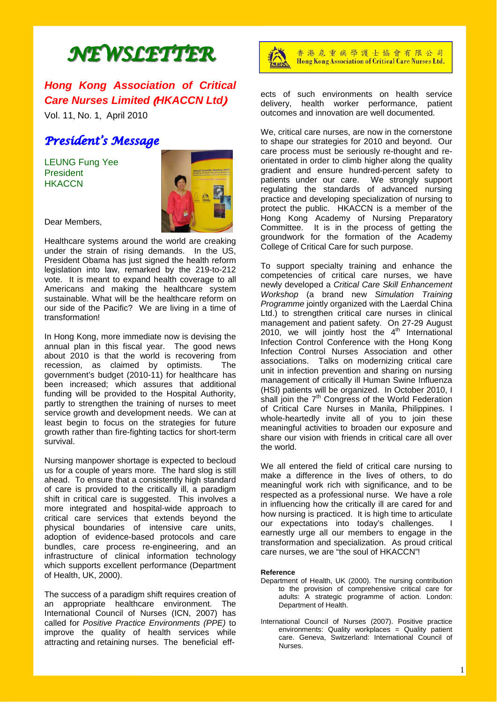# *NEWSLETTER NEWSLETTER*

## *Hong Kong Association of Critical Care Nurses Limited* (*HKACCN Ltd*)

Vol. 11, No. 1, April 2010

## *President's Message*

LEUNG Fung Yee **President HKACCN** 



Dear Members,

Healthcare systems around the world are creaking under the strain of rising demands. In the US, President Obama has just signed the health reform legislation into law, remarked by the 219-to-212 vote. It is meant to expand health coverage to all Americans and making the healthcare system sustainable. What will be the healthcare reform on our side of the Pacific? We are living in a time of transformation!

In Hong Kong, more immediate now is devising the annual plan in this fiscal year. The good news about 2010 is that the world is recovering from recession, as claimed by optimists. The government's budget (2010-11) for healthcare has been increased; which assures that additional funding will be provided to the Hospital Authority, partly to strengthen the training of nurses to meet service growth and development needs. We can at least begin to focus on the strategies for future growth rather than fire-fighting tactics for short-term survival.

Nursing manpower shortage is expected to becloud us for a couple of years more. The hard slog is still ahead. To ensure that a consistently high standard of care is provided to the critically ill, a paradigm shift in critical care is suggested. This involves a more integrated and hospital-wide approach to critical care services that extends beyond the physical boundaries of intensive care units, adoption of evidence-based protocols and care bundles, care process re-engineering, and an infrastructure of clinical information technology which supports excellent performance (Department of Health, UK, 2000).

The success of a paradigm shift requires creation of an appropriate healthcare environment. The International Council of Nurses (ICN, 2007) has called for *Positive Practice Environments (PPE)* to improve the quality of health services while attracting and retaining nurses. The beneficial eff-



香港危重病學護士協會有限公司 Hong Kong Association of Critical Care Nurses Ltd.

ects of such environments on health service delivery, health worker performance, patient outcomes and innovation are well documented.

We, critical care nurses, are now in the cornerstone to shape our strategies for 2010 and beyond. Our care process must be seriously re-thought and reorientated in order to climb higher along the quality gradient and ensure hundred-percent safety to patients under our care. We strongly support regulating the standards of advanced nursing practice and developing specialization of nursing to protect the public. HKACCN is a member of the Hong Kong Academy of Nursing Preparatory Committee. It is in the process of getting the groundwork for the formation of the Academy College of Critical Care for such purpose.

To support specialty training and enhance the competencies of critical care nurses, we have newly developed a *Critical Care Skill Enhancement Workshop* (a brand new *Simulation Training Programme* jointly organized with the Laerdal China Ltd.) to strengthen critical care nurses in clinical management and patient safety. On 27-29 August 2010, we will jointly host the  $4<sup>th</sup>$  International Infection Control Conference with the Hong Kong Infection Control Nurses Association and other associations. Talks on modernizing critical care unit in infection prevention and sharing on nursing management of critically ill Human Swine Influenza (HSI) patients will be organized. In October 2010, I shall join the  $7<sup>th</sup>$  Congress of the World Federation of Critical Care Nurses in Manila, Philippines. I whole-heartedly invite all of you to join these meaningful activities to broaden our exposure and share our vision with friends in critical care all over the world.

We all entered the field of critical care nursing to make a difference in the lives of others, to do meaningful work rich with significance, and to be respected as a professional nurse. We have a role in influencing how the critically ill are cared for and how nursing is practiced. It is high time to articulate our expectations into today's challenges. earnestly urge all our members to engage in the transformation and specialization. As proud critical care nurses, we are "the soul of HKACCN"!

#### **Reference**

- Department of Health, UK (2000). The nursing contribution to the provision of comprehensive critical care for adults: A strategic programme of action. London: Department of Health.
- International Council of Nurses (2007). Positive practice environments: Quality workplaces = Quality patient care. Geneva, Switzerland: International Council of Nurses.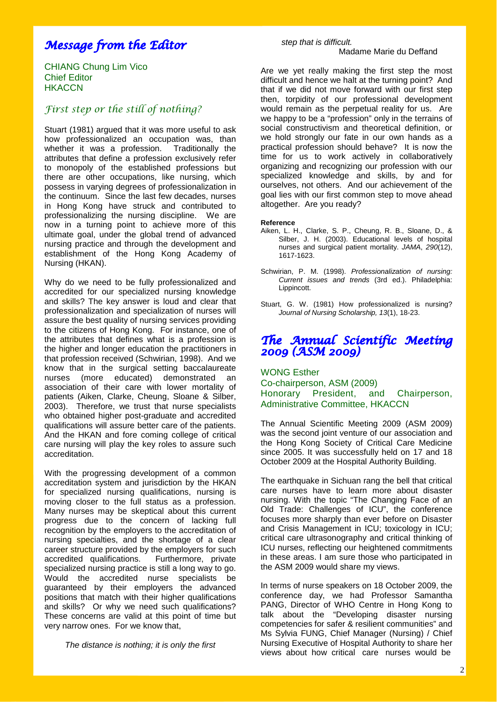## *Message from the Editor*

CHIANG Chung Lim Vico Chief Editor **HKACCN** 

## *First step or the still of nothing?*

Stuart (1981) argued that it was more useful to ask how professionalized an occupation was, than whether it was a profession. Traditionally the attributes that define a profession exclusively refer to monopoly of the established professions but there are other occupations, like nursing, which possess in varying degrees of professionalization in the continuum. Since the last few decades, nurses in Hong Kong have struck and contributed to professionalizing the nursing discipline. We are now in a turning point to achieve more of this ultimate goal, under the global trend of advanced nursing practice and through the development and establishment of the Hong Kong Academy of Nursing (HKAN).

Why do we need to be fully professionalized and accredited for our specialized nursing knowledge and skills? The key answer is loud and clear that professionalization and specialization of nurses will assure the best quality of nursing services providing to the citizens of Hong Kong. For instance, one of the attributes that defines what is a profession is the higher and longer education the practitioners in that profession received (Schwirian, 1998). And we know that in the surgical setting baccalaureate nurses (more educated) demonstrated an association of their care with lower mortality of patients (Aiken, Clarke, Cheung, Sloane & Silber, 2003). Therefore, we trust that nurse specialists who obtained higher post-graduate and accredited qualifications will assure better care of the patients. And the HKAN and fore coming college of critical care nursing will play the key roles to assure such accreditation.

With the progressing development of a common accreditation system and jurisdiction by the HKAN for specialized nursing qualifications, nursing is moving closer to the full status as a profession. Many nurses may be skeptical about this current progress due to the concern of lacking full recognition by the employers to the accreditation of nursing specialties, and the shortage of a clear career structure provided by the employers for such accredited qualifications. Furthermore, private specialized nursing practice is still a long way to go. Would the accredited nurse specialists be guaranteed by their employers the advanced positions that match with their higher qualifications and skills? Or why we need such qualifications? These concerns are valid at this point of time but very narrow ones. For we know that,

*The distance is nothing; it is only the first* 

## *step that is difficult.*  Madame Marie du Deffand

Are we yet really making the first step the most difficult and hence we halt at the turning point? And that if we did not move forward with our first step then, torpidity of our professional development would remain as the perpetual reality for us. Are we happy to be a "profession" only in the terrains of social constructivism and theoretical definition, or we hold strongly our fate in our own hands as a practical profession should behave? It is now the time for us to work actively in collaboratively organizing and recognizing our profession with our specialized knowledge and skills, by and for ourselves, not others. And our achievement of the goal lies with our first common step to move ahead altogether. Are you ready?

#### **Reference**

- Aiken, L. H., Clarke, S. P., Cheung, R. B., Sloane, D., & Silber, J. H. (2003). Educational levels of hospital nurses and surgical patient mortality. *JAMA*, *290*(12), 1617-1623.
- Schwirian, P. M. (1998). *Professionalization of nursing: Current issues and trends* (3rd ed.). Philadelphia: Lippincott.
- Stuart, G. W. (1981) How professionalized is nursing? *Journal of Nursing Scholarship, 13*(1), 18-23.

## *The Annual Scientific Meeting 2009 (ASM 2009)*

WONG Esther Co-chairperson, ASM (2009) Honorary President, and Chairperson, Administrative Committee, HKACCN

The Annual Scientific Meeting 2009 (ASM 2009) was the second joint venture of our association and the Hong Kong Society of Critical Care Medicine since 2005. It was successfully held on 17 and 18 October 2009 at the Hospital Authority Building.

The earthquake in Sichuan rang the bell that critical care nurses have to learn more about disaster nursing. With the topic "The Changing Face of an Old Trade: Challenges of ICU", the conference focuses more sharply than ever before on Disaster and Crisis Management in ICU; toxicology in ICU; critical care ultrasonography and critical thinking of ICU nurses, reflecting our heightened commitments in these areas. I am sure those who participated in the ASM 2009 would share my views.

In terms of nurse speakers on 18 October 2009, the conference day, we had Professor Samantha PANG, Director of WHO Centre in Hong Kong to talk about the "Developing disaster nursing competencies for safer & resilient communities" and Ms Sylvia FUNG, Chief Manager (Nursing) / Chief Nursing Executive of Hospital Authority to share her views about how critical care nurses would be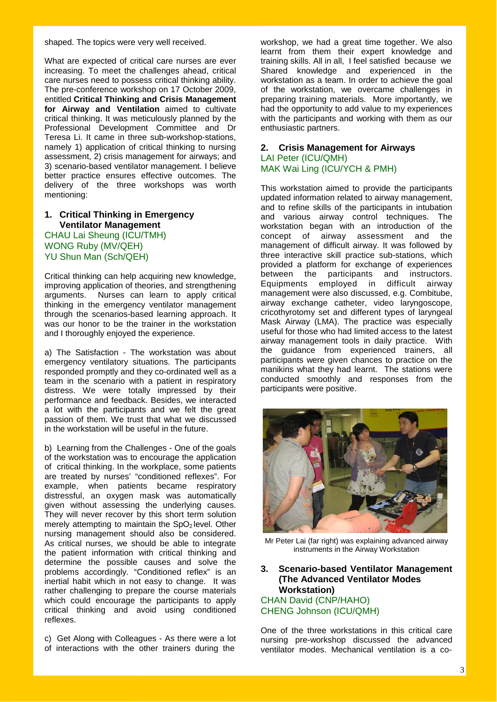shaped. The topics were very well received.

What are expected of critical care nurses are ever increasing. To meet the challenges ahead, critical care nurses need to possess critical thinking ability. The pre-conference workshop on 17 October 2009, entitled **Critical Thinking and Crisis Management for Airway and Ventilation** aimed to cultivate critical thinking. It was meticulously planned by the Professional Development Committee and Dr Teresa Li. It came in three sub-workshop-stations, namely 1) application of critical thinking to nursing assessment, 2) crisis management for airways; and 3) scenario-based ventilator management. I believe better practice ensures effective outcomes. The delivery of the three workshops was worth mentioning:

## **1. Critical Thinking in Emergency Ventilator Management**  CHAU Lai Sheung (ICU/TMH)

WONG Ruby (MV/QEH) YU Shun Man (Sch/QEH)

Critical thinking can help acquiring new knowledge, improving application of theories, and strengthening arguments. Nurses can learn to apply critical thinking in the emergency ventilator management through the scenarios-based learning approach. It was our honor to be the trainer in the workstation and I thoroughly enjoyed the experience.

a) The Satisfaction - The workstation was about emergency ventilatory situations. The participants responded promptly and they co-ordinated well as a team in the scenario with a patient in respiratory distress. We were totally impressed by their performance and feedback. Besides, we interacted a lot with the participants and we felt the great passion of them. We trust that what we discussed in the workstation will be useful in the future.

b) Learning from the Challenges - One of the goals of the workstation was to encourage the application of critical thinking. In the workplace, some patients are treated by nurses' "conditioned reflexes". For example, when patients became respiratory distressful, an oxygen mask was automatically given without assessing the underlying causes. They will never recover by this short term solution merely attempting to maintain the  $SpO<sub>2</sub>$  level. Other nursing management should also be considered. As critical nurses, we should be able to integrate the patient information with critical thinking and determine the possible causes and solve the problems accordingly. "Conditioned reflex" is an inertial habit which in not easy to change. It was rather challenging to prepare the course materials which could encourage the participants to apply critical thinking and avoid using conditioned reflexes.

c) Get Along with Colleagues - As there were a lot of interactions with the other trainers during the

workshop, we had a great time together. We also learnt from them their expert knowledge and training skills. All in all, I feel satisfied because we Shared knowledge and experienced in the workstation as a team. In order to achieve the goal of the workstation, we overcame challenges in preparing training materials. More importantly, we had the opportunity to add value to my experiences with the participants and working with them as our enthusiastic partners.

## **2. Crisis Management for Airways**  LAI Peter (ICU/QMH) MAK Wai Ling (ICU/YCH & PMH)

This workstation aimed to provide the participants updated information related to airway management, and to refine skills of the participants in intubation and various airway control techniques. The workstation began with an introduction of the concept of airway assessment and the management of difficult airway. It was followed by three interactive skill practice sub-stations, which provided a platform for exchange of experiences between the participants and instructors. Equipments employed in difficult airway management were also discussed, e.g. Combitube, airway exchange catheter, video laryngoscope, cricothyrotomy set and different types of laryngeal Mask Airway (LMA). The practice was especially useful for those who had limited access to the latest airway management tools in daily practice. With the guidance from experienced trainers, all participants were given chances to practice on the manikins what they had learnt. The stations were conducted smoothly and responses from the participants were positive.



Mr Peter Lai (far right) was explaining advanced airway instruments in the Airway Workstation

**3. Scenario-based Ventilator Management (The Advanced Ventilator Modes Workstation)**  CHAN David (CNP/HAHO) CHENG Johnson (ICU/QMH)

One of the three workstations in this critical care nursing pre-workshop discussed the advanced ventilator modes. Mechanical ventilation is a co-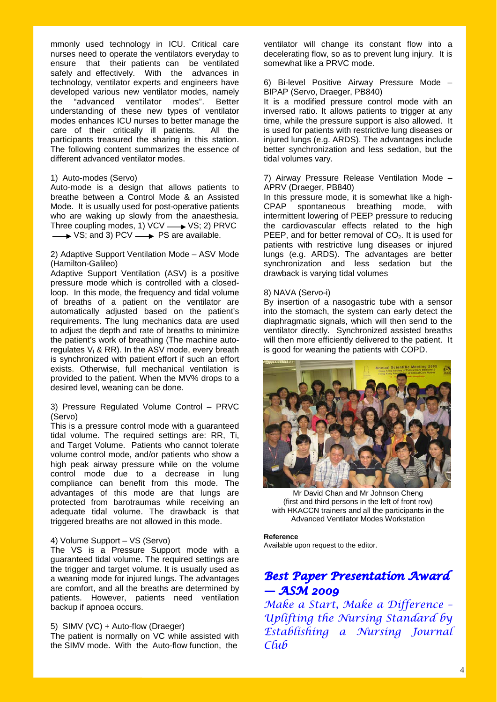mmonly used technology in ICU. Critical care nurses need to operate the ventilators everyday to ensure that their patients can be ventilated safely and effectively. With the advances in technology, ventilator experts and engineers have developed various new ventilator modes, namely the "advanced ventilator modes". Better understanding of these new types of ventilator modes enhances ICU nurses to better manage the care of their critically ill patients. All the participants treasured the sharing in this station. The following content summarizes the essence of different advanced ventilator modes.

## 1) Auto-modes (Servo)

Auto-mode is a design that allows patients to breathe between a Control Mode & an Assisted Mode. It is usually used for post-operative patients who are waking up slowly from the anaesthesia. Three coupling modes, 1) VCV  $\longrightarrow$  VS; 2) PRVC  $\rightarrow$  VS; and 3) PCV  $\rightarrow$  PS are available.

#### 2) Adaptive Support Ventilation Mode – ASV Mode (Hamilton-Galileo)

Adaptive Support Ventilation (ASV) is a positive pressure mode which is controlled with a closedloop. In this mode, the frequency and tidal volume of breaths of a patient on the ventilator are automatically adjusted based on the patient's requirements. The lung mechanics data are used to adjust the depth and rate of breaths to minimize the patient's work of breathing (The machine autoregulates  $V_t$  & RR). In the ASV mode, every breath is synchronized with patient effort if such an effort exists. Otherwise, full mechanical ventilation is provided to the patient. When the MV% drops to a desired level, weaning can be done.

## 3) Pressure Regulated Volume Control – PRVC (Servo)

This is a pressure control mode with a guaranteed tidal volume. The required settings are: RR, Ti, and Target Volume. Patients who cannot tolerate volume control mode, and/or patients who show a high peak airway pressure while on the volume control mode due to a decrease in lung compliance can benefit from this mode. The advantages of this mode are that lungs are protected from barotraumas while receiving an adequate tidal volume. The drawback is that triggered breaths are not allowed in this mode.

#### 4) Volume Support – VS (Servo)

The VS is a Pressure Support mode with a guaranteed tidal volume. The required settings are the trigger and target volume. It is usually used as a weaning mode for injured lungs. The advantages are comfort, and all the breaths are determined by patients. However, patients need ventilation backup if apnoea occurs.

#### 5) SIMV (VC) + Auto-flow (Draeger)

The patient is normally on VC while assisted with the SIMV mode. With the Auto-flow function, the

ventilator will change its constant flow into a decelerating flow, so as to prevent lung injury. It is somewhat like a PRVC mode.

### 6) Bi-level Positive Airway Pressure Mode – BIPAP (Servo, Draeger, PB840)

It is a modified pressure control mode with an inversed ratio. It allows patients to trigger at any time, while the pressure support is also allowed. It is used for patients with restrictive lung diseases or injured lungs (e.g. ARDS). The advantages include better synchronization and less sedation, but the tidal volumes vary.

### 7) Airway Pressure Release Ventilation Mode – APRV (Draeger, PB840)

In this pressure mode, it is somewhat like a high-CPAP spontaneous breathing mode, with intermittent lowering of PEEP pressure to reducing the cardiovascular effects related to the high PEEP, and for better removal of  $CO<sub>2</sub>$ . It is used for patients with restrictive lung diseases or injured lungs (e.g. ARDS). The advantages are better synchronization and less sedation but the drawback is varying tidal volumes

## 8) NAVA (Servo-i)

By insertion of a nasogastric tube with a sensor into the stomach, the system can early detect the diaphragmatic signals, which will then send to the ventilator directly. Synchronized assisted breaths will then more efficiently delivered to the patient. It is good for weaning the patients with COPD.



Mr David Chan and Mr Johnson Cheng (first and third persons in the left of front row) with HKACCN trainers and all the participants in the Advanced Ventilator Modes Workstation

#### **Reference**  Available upon request to the editor.

## *Best Paper Presentation Award — ASM 2009*

*Make a Start, Make a Difference – Uplifting the Nursing Standard by Establishing a Nursing Journal Club*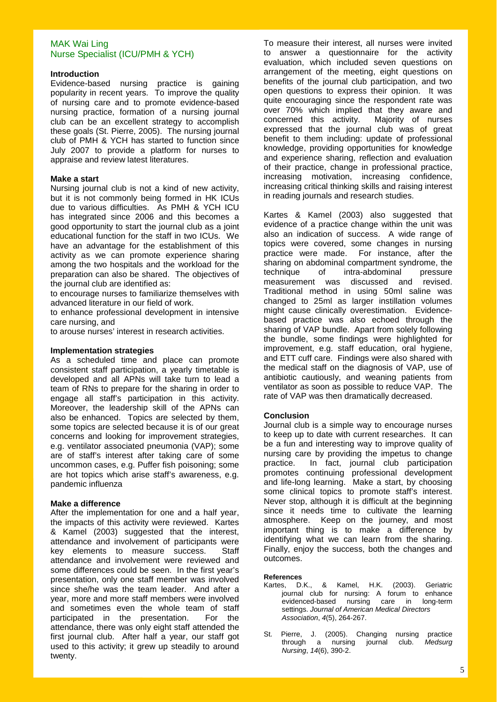## MAK Wai Ling Nurse Specialist (ICU/PMH & YCH)

## **Introduction**

Evidence-based nursing practice is gaining popularity in recent years. To improve the quality of nursing care and to promote evidence-based nursing practice, formation of a nursing journal club can be an excellent strategy to accomplish these goals (St. Pierre, 2005). The nursing journal club of PMH & YCH has started to function since July 2007 to provide a platform for nurses to appraise and review latest literatures.

#### **Make a start**

Nursing journal club is not a kind of new activity, but it is not commonly being formed in HK ICUs due to various difficulties. As PMH & YCH ICU has integrated since 2006 and this becomes a good opportunity to start the journal club as a joint educational function for the staff in two ICUs. We have an advantage for the establishment of this activity as we can promote experience sharing among the two hospitals and the workload for the preparation can also be shared. The objectives of the journal club are identified as:

to encourage nurses to familiarize themselves with advanced literature in our field of work.

to enhance professional development in intensive care nursing, and

to arouse nurses' interest in research activities.

#### **Implementation strategies**

As a scheduled time and place can promote consistent staff participation, a yearly timetable is developed and all APNs will take turn to lead a team of RNs to prepare for the sharing in order to engage all staff's participation in this activity. Moreover, the leadership skill of the APNs can also be enhanced. Topics are selected by them, some topics are selected because it is of our great concerns and looking for improvement strategies, e.g. ventilator associated pneumonia (VAP); some are of staff's interest after taking care of some uncommon cases, e.g. Puffer fish poisoning; some are hot topics which arise staff's awareness, e.g. pandemic influenza

#### **Make a difference**

After the implementation for one and a half year, the impacts of this activity were reviewed. Kartes & Kamel (2003) suggested that the interest, attendance and involvement of participants were key elements to measure success. Staff attendance and involvement were reviewed and some differences could be seen. In the first year's presentation, only one staff member was involved since she/he was the team leader. And after a year, more and more staff members were involved and sometimes even the whole team of staff participated in the presentation. For the attendance, there was only eight staff attended the first journal club. After half a year, our staff got used to this activity; it grew up steadily to around twenty.

To measure their interest, all nurses were invited to answer a questionnaire for the activity evaluation, which included seven questions on arrangement of the meeting, eight questions on benefits of the journal club participation, and two open questions to express their opinion. It was quite encouraging since the respondent rate was over 70% which implied that they aware and concerned this activity. Majority of nurses expressed that the journal club was of great benefit to them including: update of professional knowledge, providing opportunities for knowledge and experience sharing, reflection and evaluation of their practice, change in professional practice, increasing motivation, increasing confidence, increasing critical thinking skills and raising interest in reading journals and research studies.

Kartes & Kamel (2003) also suggested that evidence of a practice change within the unit was also an indication of success. A wide range of topics were covered, some changes in nursing practice were made. For instance, after the sharing on abdominal compartment syndrome, the technique of intra-abdominal pressure measurement was discussed and revised. Traditional method in using 50ml saline was changed to 25ml as larger instillation volumes might cause clinically overestimation. Evidencebased practice was also echoed through the sharing of VAP bundle. Apart from solely following the bundle, some findings were highlighted for improvement, e.g. staff education, oral hygiene, and ETT cuff care. Findings were also shared with the medical staff on the diagnosis of VAP, use of antibiotic cautiously, and weaning patients from ventilator as soon as possible to reduce VAP. The rate of VAP was then dramatically decreased.

## **Conclusion**

Journal club is a simple way to encourage nurses to keep up to date with current researches. It can be a fun and interesting way to improve quality of nursing care by providing the impetus to change practice. In fact, journal club participation promotes continuing professional development and life-long learning. Make a start, by choosing some clinical topics to promote staff's interest. Never stop, although it is difficult at the beginning since it needs time to cultivate the learning atmosphere. Keep on the journey, and most important thing is to make a difference by identifying what we can learn from the sharing. Finally, enjoy the success, both the changes and outcomes.

#### **References**

- Kartes, D.K., & Kamel, H.K. (2003). Geriatric journal club for nursing: A forum to enhance evidenced-based nursing care in long-term settings. *Journal of American Medical Directors Association*, *4*(5), 264-267.
- St. Pierre, J. (2005). Changing nursing practice through a nursing journal club. *Medsurg Nursing*, *14*(6), 390-2.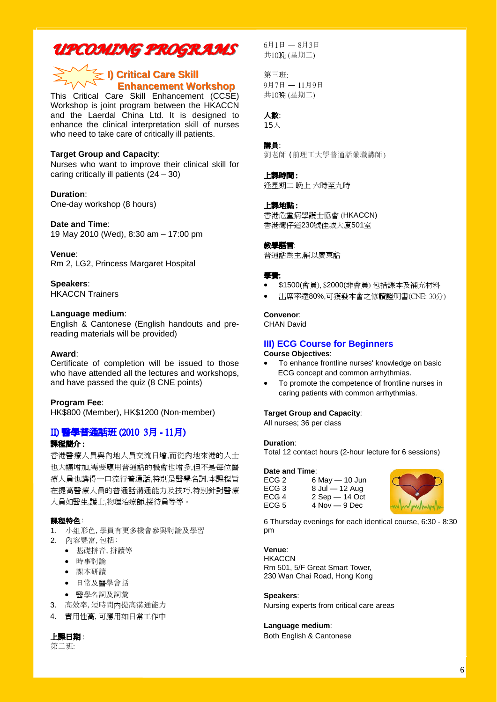## *UPCOMING PROGRAMS UPCOMING PROGRAMS*

## **I) Critical Care Skill** —**Enhancement Workshop Enhancement Workshop**

This Critical Care Skill Enhancement (CCSE) Workshop is joint program between the HKACCN and the Laerdal China Ltd. It is designed to enhance the clinical interpretation skill of nurses who need to take care of critically ill patients.

## **Target Group and Capacity**:

Nurses who want to improve their clinical skill for caring critically ill patients (24 – 30)

## **Duration**:

One-day workshop (8 hours)

### **Date and Time**:

19 May 2010 (Wed), 8:30 am – 17:00 pm

#### **Venue**:

Rm 2, LG2, Princess Margaret Hospital

## **Speakers**:

HKACCN Trainers

## **Language medium**:

English & Cantonese (English handouts and prereading materials will be provided)

#### **Award**:

Certificate of completion will be issued to those who have attended all the lectures and workshops, and have passed the quiz (8 CNE points)

#### **Program Fee**:

HK\$800 (Member), HK\$1200 (Non-member)

## II) 醫學普通話班 (2010 3月 - 11月)

## 課程簡介 :

香港醫療人員與內地人員交流日增,而從內地來港的人士 也大幅增加,需要應用普通話的機會也增多,但不是每位醫 療人員也講得一口流行普通話,特別是醫學名詞.本課程旨 在提高醫療人員的普通話溝通能力及技巧,特别針對醫療 人員如醫生,護士,物理治療師,接待員等等。

## 課程特色:

- 1. 小组形色,學員有更多機會參與討論及學習
- 2. 內容豐富,包括:
	- 基礎拼音,拼讀等
	- 時事討論
	- 課本研讀
	- 日常及醫學會話
	- 醫學名詞及詞彙
- 3. 高效率,短時間內提高溝通能力
- 4. 實用性高, 可應用如日常工作中

## 上課日期 :

第二班:

6月1日 — 8月3日 共10晚 (星期二)

第三班: 9月7日 — 11月9日 共10晚 (星期二)

## 人數:

15人

### 講員:

劉老師 (前理工大學普通話兼職講師)

## 上課時間 :

逢星期二 晚上 六時至九時

## 上課地點 :

香港危重病學護士協會 (HKACCN) 香港灣仔道230號佳城大廈501室

#### 教學語言:

普通話為主,輔以廣東話

#### 學費:

- \$1500(會員), \$2000(非會員) 包括課本及補充材料
- 出席率達80%,可獲發本會之修讀證明書(CNE: 30分)

#### **Convenor**:

CHAN David

## **III) ECG Course for Beginners**

## **Course Objectives**:

- To enhance frontline nurses' knowledge on basic ECG concept and common arrhythmias.
- To promote the competence of frontline nurses in caring patients with common arrhythmias.

#### **Target Group and Capacity**:

All nurses; 36 per class

## **Duration**:

Total 12 contact hours (2-hour lecture for 6 sessions)

#### **Date and Time**:

| ECG 2<br>ECG <sub>3</sub> | 6 May - 10 Jun<br>$8$ Jul $-$ 12 Aug |
|---------------------------|--------------------------------------|
| ECG 4                     | $2$ Sep $-$ 14 Oct                   |
| ECG 5                     | $4$ Nov $-9$ Dec                     |



6 Thursday evenings for each identical course, 6:30 - 8:30 pm

#### **Venue**:

**HKACCN** Rm 501, 5/F Great Smart Tower, 230 Wan Chai Road, Hong Kong

#### **Speakers**:

Nursing experts from critical care areas

## **Language medium**:

Both English & Cantonese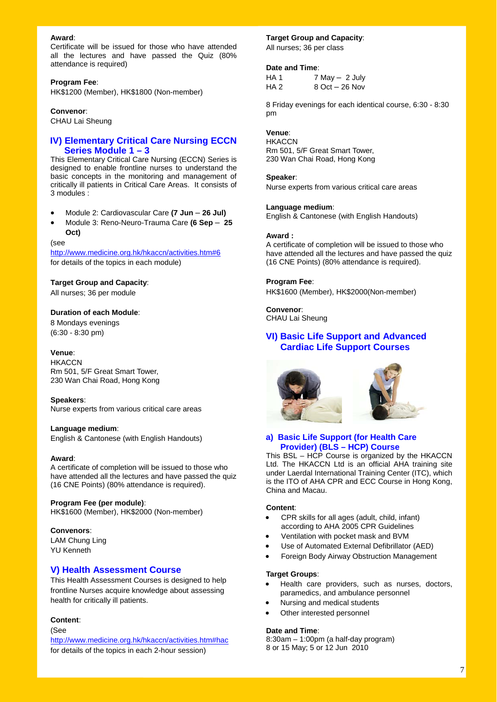#### **Award**:

Certificate will be issued for those who have attended all the lectures and have passed the Quiz (80% attendance is required)

#### **Program Fee**:

HK\$1200 (Member), HK\$1800 (Non-member)

#### **Convenor**:

CHAU Lai Sheung

## **IV) Elementary Critical Care Nursing ECCN Series Module 1 – 3**

This Elementary Critical Care Nursing (ECCN) Series is designed to enable frontline nurses to understand the basic concepts in the monitoring and management of critically ill patients in Critical Care Areas. It consists of 3 modules :

- Module 2: Cardiovascular Care **(7 Jun 26 Jul)**
- Module 3: Reno-Neuro-Trauma Care **(6 Sep 25 Oct)**

#### (see

http://www.medicine.org.hk/hkaccn/activities.htm#6 for details of the topics in each module)

#### **Target Group and Capacity**:

All nurses; 36 per module

#### **Duration of each Module**:

8 Mondays evenings (6:30 - 8:30 pm)

#### **Venue**:

**HKACCN** Rm 501, 5/F Great Smart Tower, 230 Wan Chai Road, Hong Kong

#### **Speakers**:

Nurse experts from various critical care areas

#### **Language medium**:

English & Cantonese (with English Handouts)

#### **Award**:

A certificate of completion will be issued to those who have attended all the lectures and have passed the quiz (16 CNE Points) (80% attendance is required).

#### **Program Fee (per module)**:

HK\$1600 (Member), HK\$2000 (Non-member)

#### **Convenors**:

LAM Chung Ling YU Kenneth

### **V) Health Assessment Course**

This Health Assessment Courses is designed to help frontline Nurses acquire knowledge about assessing health for critically ill patients.

#### **Content**:

(See

http://www.medicine.org.hk/hkaccn/activities.htm#hac for details of the topics in each 2-hour session)

#### **Target Group and Capacity**:

All nurses; 36 per class

#### **Date and Time**:

HA 1  $7$  May  $-$  2 July HA 2 8 Oct – 26 Nov

8 Friday evenings for each identical course, 6:30 - 8:30 pm

## **Venue**:

**HKACCN** Rm 501, 5/F Great Smart Tower, 230 Wan Chai Road, Hong Kong

### **Speaker**:

Nurse experts from various critical care areas

#### **Language medium**:

English & Cantonese (with English Handouts)

#### **Award :**

A certificate of completion will be issued to those who have attended all the lectures and have passed the quiz (16 CNE Points) (80% attendance is required).

#### **Program Fee**:

HK\$1600 (Member), HK\$2000(Non-member)

**Convenor**: CHAU Lai Sheung

## **VI) Basic Life Support and Advanced Cardiac Life Support Courses**





#### **a) Basic Life Support (for Health Care Provider) (BLS – HCP) Course**

This BSL – HCP Course is organized by the HKACCN Ltd. The HKACCN Ltd is an official AHA training site under Laerdal International Training Center (ITC), which is the ITO of AHA CPR and ECC Course in Hong Kong, China and Macau.

#### **Content**:

- CPR skills for all ages (adult, child, infant) according to AHA 2005 CPR Guidelines
- Ventilation with pocket mask and BVM
- Use of Automated External Defibrillator (AED)
- Foreign Body Airway Obstruction Management

#### **Target Groups**:

- Health care providers, such as nurses, doctors, paramedics, and ambulance personnel
- Nursing and medical students
- Other interested personnel

#### **Date and Time**:

8:30am – 1:00pm (a half-day program) 8 or 15 May; 5 or 12 Jun 2010